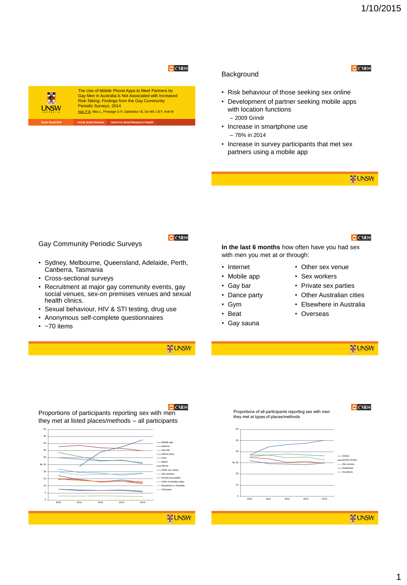# **C** CSRH



The Use of Mobile Phone Apps to Meet Partners by Gay Men in Australia is Not Associated with Increased Risk-Taking: Findings from the Gay Community Periodic Surveys, 2014 Hull, P B, Mao L, Prestage G P, Zablotska I B, De Wit J B F, Holt M

**Arts & Social Sciences Centre for Social R** 

#### **Background**

**O** CSRH

- Risk behaviour of those seeking sex online
- Development of partner seeking mobile apps with location functions – 2009 Grindr
- Increase in smartphone use – 76% in 2014
- Increase in survey participants that met sex partners using a mobile app

**E UNSW** 

### Gay Community Periodic Surveys

- Sydney, Melbourne, Queensland, Adelaide, Perth, Canberra, Tasmania
- Cross-sectional surveys
- Recruitment at major gay community events, gay social venues, sex-on premises venues and sexual health clinics.
- Sexual behaviour, HIV & STI testing, drug use
- Anonymous self-complete questionnaires
- $\cdot$  ~70 items

## **E UNSW**

**O** CSRH



**In the last 6 months** how often have you had sex with men you met at or through:

- Internet
- Mobile app
- Gay bar
- Dance party
- Gym
- Beat
- Gay sauna
- Other sex venue
- Sex workers
- Private sex parties
- Other Australian cities
- Elsewhere in Australia
- Overseas

**E UNSW** 



**O** CSRH

Proportions of participants reporting sex with men they met at listed places/methods – all participants

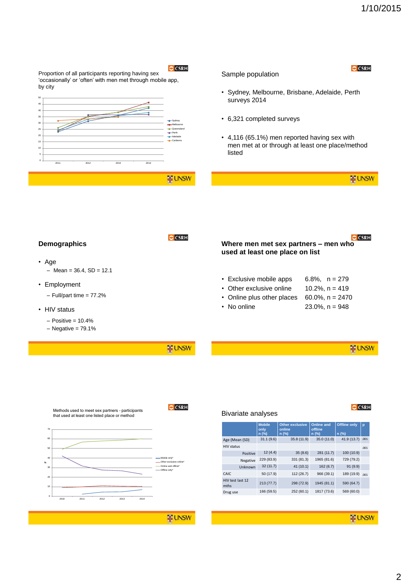**O** CSRH



Sample population

• Sydney, Melbourne, Brisbane, Adelaide, Perth

- $-$  Positive = 10.4%
- $-$  Negative = 79.1%

Proportion of all participants reporting having sex 'occasionally' or 'often' with men met through mobile app,

by city

• Age

**WE UNSW** 

**O** CSRH





**E UNSW** 

**E UNSW**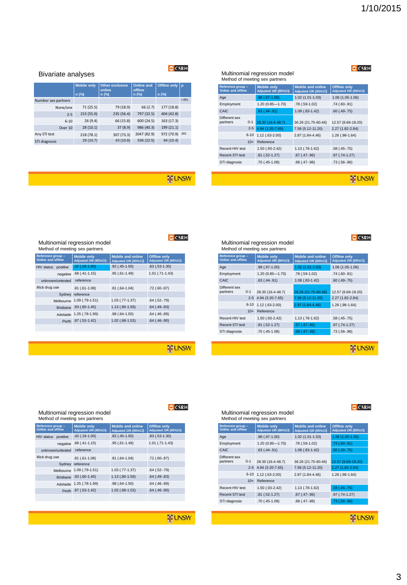## **O** CSRH

#### Multinomial regression model Method of meeting sex partners

| Reference group -<br><b>Online and offline</b> | <b>Mobile only</b><br>Adjusted OR (95%CI) | <b>Mobile and online</b><br>Adjusted OR (95%CI) | <b>Offline only</b><br>Adjusted OR (95%CI) |
|------------------------------------------------|-------------------------------------------|-------------------------------------------------|--------------------------------------------|
| Age                                            | .98 (.97-1.00)                            | $1.02(1.01-1.03)$                               | $1.06(1.05-1.06)$                          |
| Employment                                     | $1.20(0.85 - 1.70)$                       | .78 (.59-1.02)                                  | $.74(.60-.91)$                             |
| CAIC                                           | $.63(.44-.91)$                            | $1.08$ $(.83-1.42)$                             | $.60(.49-.75)$                             |
| Different sex<br>$0 - 1$<br>partners           | 28.30 (16.4-48.7)                         | 36.26 (21.75-60.46)                             | 12.57 (8.68-18.20)                         |
| $2 - 5$                                        | 4.94 (3.20-7.65)                          | 7.58 (5.12-11.20)                               | 2.27 (1.82-2.84)                           |
| $6 - 10$                                       | $1.12(.63 - 2.00)$                        | 2.87 (1.84-4.46)                                | $1.26$ (.98-1.64)                          |
| $10+$                                          | Reference                                 |                                                 |                                            |
| Recent HIV test                                | 1.50 (.93-2.42)                           | $1.13$ (.78-1.62)                               | $.58(.45-.75)$                             |
| <b>Recent STI test</b>                         | $.81(.52-1.27)$                           | $.67$ $(.47-.96)$                               | $.97$ $(.74-1.27)$                         |
| STI diagnosis                                  | .70 (.45-1.08)                            | $.68$ $(.47-.98)$                               | $.73(.56-.96)$                             |

**E** UNSW

# **E** UNSW

**O** CSRH

**O** CSRH

#### Bivariate analyses

|                     | <b>Mobile only</b><br>$n$ (%) | <b>Other exclusive</b><br>online<br>n (%) | <b>Online and</b><br>offline<br>n (%) | <b>Offline only</b><br>$n$ (%) | p       |
|---------------------|-------------------------------|-------------------------------------------|---------------------------------------|--------------------------------|---------|
| Number sex partners |                               |                                           |                                       |                                | < 0.001 |
| None/one            | 71 (25.5)                     | 79 (18.9)                                 | 66 (2.7)                              | 177 (18.8)                     |         |
| $2 - 5$             | 153 (55.0)                    | 235 (56.4)                                | 797 (32.5)                            | 404 (42.8)                     |         |
| $6 - 10$            | 26(9.4)                       | 66 (15.8)                                 | 600 (24.5)                            | 163 (17.3)                     |         |
| Over 10             | 28(10.1)                      | 37 (8.9)                                  | 986 (40.3)                            | 199 (21.1)                     |         |
| Any STI test        | 218 (78.1)                    | 307 (73.3)                                | 2047 (82.9)                           | 972 (70.9) .001                |         |
| STI diagnosis       | 29 (10.7)                     | 43 (10.8)                                 | 536 (22.5)                            | 94 (10.4)                      |         |

# **O** CSRH

| Method of meeting sex partners                 |                                           |                                                 |                                            | M                  |
|------------------------------------------------|-------------------------------------------|-------------------------------------------------|--------------------------------------------|--------------------|
| Reference group -<br><b>Online and offline</b> | <b>Mobile only</b><br>Adjusted OR (95%CI) | <b>Mobile and online</b><br>Adjusted OR (95%CI) | <b>Offline only</b><br>Adjusted OR (95%CI) | <b>Ref</b><br>Onli |
| positive<br>HIV status                         | .42 (.19-1.00)                            | $.82$ $(.45-1.50)$                              | $.83(.53-1.30)$                            | Age                |
| negative                                       | $.68$ $(.41-1.15)$                        | .95 (.61-1.49)                                  | $1.01$ $(.71-1.43)$                        | Em                 |
| unknown/untested                               | reference                                 |                                                 |                                            | CAI                |
| Illicit drug use                               | $.81(.61-1.08)$                           | $.81(.64-1.04)$                                 | $.72(.60-.87)$                             | Diff               |
|                                                | Sydney reference                          |                                                 |                                            | part               |
|                                                | Melbourne 1.09 (.79-1.51)                 | $1.03$ $(.77-1.37)$                             | $.64$ $(.52-.79)$                          |                    |
|                                                | Brisbane .93 (.60-1.45)                   | $1.13$ $(.80-1.59)$                             | $.64$ $(.49-.83)$                          |                    |
|                                                | Adelaide 1.25 (.78-1.99)                  | $.98(.64-1.50)$                                 | $.64$ $(.46-.89)$                          |                    |
|                                                | Perth .87 (.53-1.42)                      | $1.02$ (.68-1.53)                               | $.64$ $(.46-.90)$                          | Rec                |
|                                                |                                           |                                                 |                                            | Rec                |

**E** UNSW

#### Multinomial regression model lethod of meeting sex partners

| Reference group -<br><b>Online and offline</b> |         | <b>Mobile only</b><br>Adjusted OR (95%CI) | <b>Mobile and online</b><br>Adjusted OR (95%CI) | <b>Offline only</b><br>Adjusted OR (95%CI) |
|------------------------------------------------|---------|-------------------------------------------|-------------------------------------------------|--------------------------------------------|
| Age                                            |         | .98 (.97-1.00)                            | $1.02(1.01-1.03)$                               | $1.06(1.05-1.06)$                          |
| Employment                                     |         | $1.20(0.85 - 1.70)$                       | .78 (.59-1.02)                                  | $.74(.60-.91)$                             |
| CAIC                                           |         | $.63$ $(.44-.91)$                         | $1.08$ $(.83-1.42)$                             | $.60(.49-.75)$                             |
| Different sex<br>partners                      | $0 - 1$ | 28.30 (16.4-48.7)                         | 36.26 (21.75-60.46)                             | 12.57 (8.68-18.20)                         |
|                                                |         | 2-5 4.94 (3.20-7.65)                      | 7.58 (5.12-11.20)                               | 2.27 (1.82-2.84)                           |
| $6 - 10$                                       |         | 1.12 (.63-2.00)                           | 2.87 (1.84-4.46)                                | $1.26$ (.98-1.64)                          |
|                                                | $10+$   | Reference                                 |                                                 |                                            |
| Recent HIV test                                |         | 1.50 (.93-2.42)                           | $1.13$ (.78-1.62)                               | $.58(.45-.75)$                             |
| Recent STI test                                |         | $.81(.52-1.27)$                           | $.67$ $(.47-.96)$                               | .97 (.74-1.27)                             |
| STI diagnosis                                  |         | $.70(.45-1.08)$                           | $.68$ $(.47-.98)$                               | $.73(.56-.96)$                             |
|                                                |         |                                           |                                                 |                                            |

**E** UNSW

**O** CSRH

## **O** CSRH

#### Multinomial regression model Method of meeting sex partners

Multinomial regression model

HIV status

unknow Illicit drug

| Reference group -<br><b>Online and offline</b> | <b>Mobile only</b><br>Adjusted OR (95%CI) | <b>Mobile and online</b><br>Adjusted OR (95%CI) | <b>Offline only</b><br>Adjusted OR (95%CI) |
|------------------------------------------------|-------------------------------------------|-------------------------------------------------|--------------------------------------------|
| positive<br><b>HIV</b> status                  | .42 (.19-1.00)                            | $.82$ $(.45-1.50)$                              | $.83(.53-1.30)$                            |
| negative                                       | $.68$ $(.41-1.15)$                        | .95 (.61-1.49)                                  | $1.01$ $(.71-1.43)$                        |
| unknown/untested                               | reference                                 |                                                 |                                            |
| Illicit drug use                               | $.81(.61-1.08)$                           | $.81(.64-1.04)$                                 | $.72(.60-.87)$                             |
|                                                | Sydney reference                          |                                                 |                                            |
| Melbourne                                      | $1.09$ (.79-1.51)                         | 1.03 (.77-1.37)                                 | $.64$ $(.52-.79)$                          |
| <b>Brisbane</b>                                | $.93(.60-1.45)$                           | 1.13 (.80-1.59)                                 | $.64$ $(.49-.83)$                          |
| Adelaide                                       | 1.25 (.78-1.99)                           | .98 (.64-1.50)                                  | $.64$ $(.46-.89)$                          |
| Perth                                          | .87 (.53-1.42)                            | $1.02$ (.68-1.53)                               | $.64$ $(.46-.90)$                          |
|                                                |                                           |                                                 |                                            |

**E** UNSW



| Reference group -<br><b>Online and offline</b> |          | <b>Mobile only</b><br>Adjusted OR (95%CI) | <b>Mobile and online</b><br>Adjusted OR (95%CI) | <b>Offline only</b><br>Adjusted OR (95%CI) |
|------------------------------------------------|----------|-------------------------------------------|-------------------------------------------------|--------------------------------------------|
| Age                                            |          | .98 (.97-1.00)                            | $1.02(1.01-1.03)$                               | $1.06(1.05-1.06)$                          |
| Employment                                     |          | 1.20 (0.85-1.70)                          | .78 (.59-1.02)                                  | $.74(.60-.91)$                             |
| CAIC                                           |          | $.63$ $(.44-.91)$                         | $1.08$ $(.83-1.42)$                             | $.60(.49-.75)$                             |
| Different sex<br>partners                      | $0 - 1$  | 28.30 (16.4-48.7)                         | 36.26 (21.75-60.46)                             | 12.57 (8.68-18.20)                         |
|                                                | $2 - 5$  | 4.94 (3.20-7.65)                          | 7.58 (5.12-11.20)                               | 2.27 (1.82-2.84)                           |
|                                                | $6 - 10$ | $1.12(.63 - 2.00)$                        | 2.87 (1.84-4.46)                                | 1.26 (.98-1.64)                            |
|                                                | $10+$    | Reference                                 |                                                 |                                            |
| Recent HIV test                                |          | 1.50 (.93-2.42)                           | 1.13 (.78-1.62)                                 | $.58(.45-.75)$                             |
| <b>Recent STI test</b>                         |          | $.81(.52-1.27)$                           | $.67$ $(.47-.96)$                               | .97 (.74-1.27)                             |
| STI diagnosis                                  |          | .70 (.45-1.08)                            | $.68$ $(.47-.98)$                               | $.73(.56-.96)$                             |
|                                                |          |                                           |                                                 |                                            |